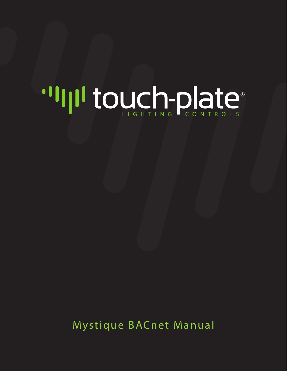# "Illitouch-plate"

Mystique BACnet Manual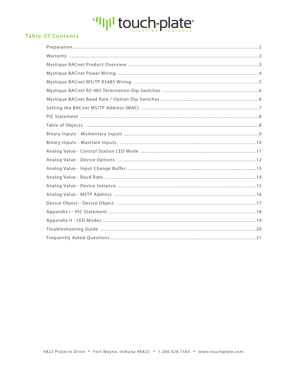# "IllI touch-plate"

# **Table Of Contents**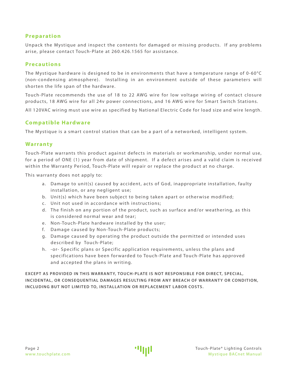# <span id="page-2-0"></span>**Preparation**

Unpack the Mystique and inspect the contents for damaged or missing products. If any problems arise, please contact Touch-Plate at 260.426.1565 for assistance.

# **Precautions**

The Mystique hardware is designed to be in environments that have a temperature range of 0-60°C (non- condensing atmosphere). I nstalling in an environment outside of these parameters will shorten the life span of the hardware.

Touch-Plate recommends the use of 18 to 22 AWG wire for low voltage wiring of contact closure products, 18 AWG wire for all 24v power connections, and 16 AWG wire for Smart Switch Stations.

All 120VAC wiring must use wire as specified by National Electric Code for load size and wire length.

# **Compatible Hardware**

The Mystique is a smart control station that can be a part of a networked, intelligent system.

## **Warranty**

Touch-Plate warrants this product against defects in materials or workmanship, under normal use, for a period of ONE (1) year from date of shipment. If a defect arises and a valid claim is received within the Warranty Period, Touch-Plate will repair or replace the product at no charge.

This warranty does not apply to:

- a. Damage to unit(s) caused by accident, acts of God, inappropriate installation, faulty installation, or any negligent use;
- b. Unit(s) which have been subject to being taken apart or otherwise modified;
- c. Unit not used in accordance with instructions;
- d. The finish on any portion of the product, such as surface and/or weathering, as this is considered normal wear and tear;
- e. Non-Touch-Plate hardware installed by the user;
- f. Damage caused by Non-Touch-Plate products;
- g. Damage caused by operating the product outside the permitted or intended uses described by Touch-Plate;
- h. or- Specific plans or Specific application requirements, unless the plans and specifications have been forwarded to Touch-Plate and Touch-Plate has approved and accepted the plans in writing.

**EXCEPT AS PROVIDED IN THIS WARRANTY, TOUCH-PLATE IS NOT RESPONSIBLE FOR DIRECT, SPECIAL,** INCIDENTAL, OR CONSEQUENTIAL DAMAGES RESULTING FROM ANY BREACH OF WARRANTY OR CONDITION, **INCLUDING BUT NOT LIMITED TO, INSTALLATION OR REPLACEMENT LABOR COSTS.**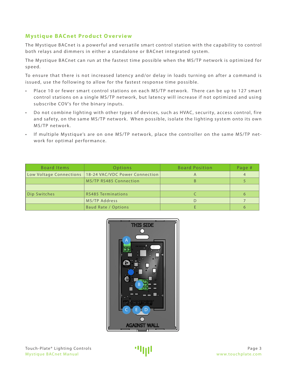# <span id="page-3-0"></span>**Mystique BACnet Product Overview**

The Mystique BACnet is a powerful and versatile smart control station with the capability to control both relays and dimmers in either a standalone or BACnet integrated system.

The Mystique BACnet can run at the fastest time possible when the MS/TP network is optimized for speed.

To ensure that there is not increased latency and/or delay in loads turning on after a command is issued, use the following to allow for the fastest response time possible.

- Place 10 or fewer smart control stations on each MS/TP network. There can be up to 127 smart control stations on a single MS/TP network, but latency will increase if not optimized and using subscribe COV's for the binary inputs.
- Do not combine lighting with other types of devices, such as HVAC, security, access control, fire and safety, on the same MS/TP network. When possible, isolate the lighting system onto its own MS/TP network.
- If multiple Mystique's are on one MS/TP network, place the controller on the same MS/TP network for optimal performance.

| Board Items             | Options                        | <b>Board Position</b> | Page # |
|-------------------------|--------------------------------|-----------------------|--------|
| Low Voltage Connections | 18-24 VAC/VDC Power Connection |                       |        |
|                         | MS/TP RS485 Connection         |                       |        |
|                         |                                |                       |        |
| Dip Switches            | <b>RS485 Terminations</b>      |                       | 6      |
|                         | MS/TP Address                  |                       |        |
|                         | <b>Baud Rate / Options</b>     |                       | ჩ      |

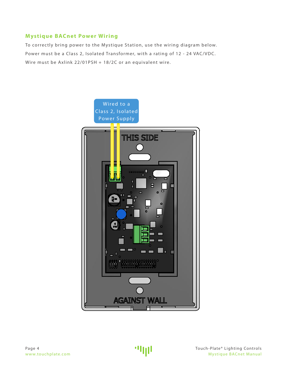# <span id="page-4-0"></span>**Mystique BACnet Power Wiring**

To correctly bring power to the Mystique Station, use the wiring diagram below. Power must be a Class 2, Isolated Transformer, with a rating of 12 - 24 VAC/VDC. Wire must be Axlink 22/01PSH + 18/2C or an equivalent wire.

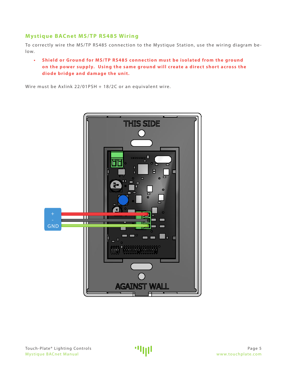# <span id="page-5-0"></span>**Mystique BACnet MS/TP RS485 Wiring**

To correctly wire the MS/TP RS485 connection to the Mystique Station, use the wiring diagram below.

**•** Shield or Ground for MS/TP RS485 connection must be isolated from the ground on the power supply. Using the same ground will create a direct short across the **dio de bridge and damage the unit.** 

Wire must be Axlink 22/01PSH + 18/2C or an equivalent wire.

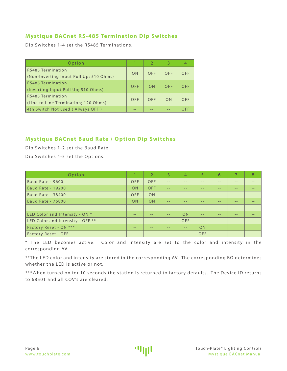# <span id="page-6-0"></span>**Mystique BACnet RS-485 Termination Dip Switches**

Dip Switches 1-4 set the RS485 Terminations.

| Option                                                       |            |                | 3   |            |
|--------------------------------------------------------------|------------|----------------|-----|------------|
| RS485 Termination<br>(Non-Inverting Input Pull Up; 510 Ohms) | ON         | OFF            | OFF | OFF        |
| RS485 Termination<br>(Inverting Input Pull Up; 510 Ohms)     | <b>OFF</b> | 0 <sub>N</sub> | OFF | <b>OFF</b> |
| RS485 Termination<br>(Line to Line Termination; 120 Ohms)    | <b>OFF</b> | OFF            | ON  | OFF        |
| 4th Switch Not used (Always OFF)                             |            |                |     | OFF        |

# **Mystique BACnet Baud Rate / Option Dip Switches**

Dip Switches 1-2 set the Baud Rate. Dip Switches 4-5 set the Options.

| Option                           |       | $\mathcal{L}$ | $\overline{3}$ | 4     | 5.         | 6     |      | 8     |
|----------------------------------|-------|---------------|----------------|-------|------------|-------|------|-------|
| Baud Rate - 9600                 | OFF   | <b>OFF</b>    | $-$            | $ -$  | --         | $- -$ | $ -$ |       |
| <b>Baud Rate - 19200</b>         | ON    | <b>OFF</b>    | $-$            | $ -$  | --         | $ -$  | $ -$ | --    |
| <b>Baud Rate - 38400</b>         | OFF   | ON            | $- -$          | $- -$ | $- -$      | $- -$ | $ -$ | $- -$ |
| <b>Baud Rate - 76800</b>         | ON    | <b>ON</b>     | $- -$          | $ -$  | --         | $- -$ | $ -$ |       |
|                                  |       |               |                |       |            |       |      |       |
| LED Color and Intensity - ON *   | $- -$ | $- -$         | $- -$          | ON    | $- -$      | $- -$ | $ -$ | --    |
| LED Color and Intensity - OFF ** | $- -$ |               | $- -$          | OFF   | --         | $ -$  |      |       |
| Factory Reset - ON ***           | $- -$ |               | $- -$          | $- -$ | <b>ON</b>  |       |      |       |
| <b>Factory Reset - OFF</b>       | $- -$ |               | $- -$          | $- -$ | <b>OFF</b> |       |      |       |

\* The LED becomes active. Color and intensity are set to the color and intensity in the corresponding AV.

\*\* The LED color and intensity are stored in the corresponding AV. The corresponding BO determines whether the LED is active or not.

\*\*\*When turned on for 10 seconds the station is returned to factory defaults. The Device ID returns to 68501 and all COV's are cleared.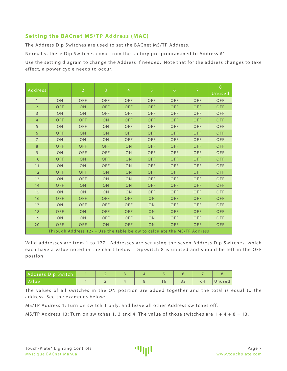# <span id="page-7-0"></span>**Setting the BACnet MS/TP Address (MAC)**

The Address Dip Switches are used to set the BACnet MS/TP Address.

Normally, these Dip Switches come from the factory pre-programmed to Address #1.

Use the setting diagram to change the Address if needed. Note that for the address changes to take effect, a power cycle needs to occur.

| Address        | $\mathbf{1}$                                                             | $\overline{2}$ | $\overline{3}$ | $\overline{4}$ | $\overline{5}$ | $\sqrt{6}$ | $\overline{7}$ | 8<br>Unused |  |
|----------------|--------------------------------------------------------------------------|----------------|----------------|----------------|----------------|------------|----------------|-------------|--|
| $\mathbf{1}$   | ON                                                                       | OFF            | <b>OFF</b>     | OFF            | OFF            | OFF        | OFF            | OFF         |  |
| $\overline{2}$ | <b>OFF</b>                                                               | ON             | <b>OFF</b>     | OFF            | OFF            | OFF        | <b>OFF</b>     | <b>OFF</b>  |  |
| $\overline{3}$ | ON                                                                       | ON             | <b>OFF</b>     | OFF            | OFF            | OFF        | OFF            | <b>OFF</b>  |  |
| $\overline{4}$ | <b>OFF</b>                                                               | <b>OFF</b>     | ON             | <b>OFF</b>     | OFF            | <b>OFF</b> | <b>OFF</b>     | <b>OFF</b>  |  |
| 5              | ON                                                                       | <b>OFF</b>     | ON             | OFF            | OFF            | OFF        | OFF            | <b>OFF</b>  |  |
| 6              | <b>OFF</b>                                                               | ON             | ON             | <b>OFF</b>     | <b>OFF</b>     | <b>OFF</b> | <b>OFF</b>     | <b>OFF</b>  |  |
| $\overline{7}$ | ON                                                                       | ON             | ON             | <b>OFF</b>     | OFF            | OFF        | <b>OFF</b>     | <b>OFF</b>  |  |
| 8              | <b>OFF</b>                                                               | <b>OFF</b>     | <b>OFF</b>     | ON             | OFF            | <b>OFF</b> | <b>OFF</b>     | <b>OFF</b>  |  |
| $\overline{9}$ | ON                                                                       | <b>OFF</b>     | <b>OFF</b>     | ON             | OFF            | OFF        | <b>OFF</b>     | <b>OFF</b>  |  |
| 10             | OFF                                                                      | ON             | <b>OFF</b>     | ON             | OFF            | OFF        | <b>OFF</b>     | <b>OFF</b>  |  |
| 11             | ON                                                                       | ON             | <b>OFF</b>     | ON             | OFF            | OFF        | <b>OFF</b>     | OFF         |  |
| 12             | <b>OFF</b>                                                               | <b>OFF</b>     | ON             | ON             | OFF            | <b>OFF</b> | <b>OFF</b>     | <b>OFF</b>  |  |
| 13             | ON                                                                       | OFF            | ON             | ON             | OFF            | OFF        | OFF            | OFF         |  |
| 14             | <b>OFF</b>                                                               | ON             | ON             | ON             | <b>OFF</b>     | <b>OFF</b> | <b>OFF</b>     | <b>OFF</b>  |  |
| 15             | ON                                                                       | ON             | ON             | ON             | OFF            | OFF        | <b>OFF</b>     | <b>OFF</b>  |  |
| 16             | <b>OFF</b>                                                               | <b>OFF</b>     | <b>OFF</b>     | <b>OFF</b>     | ON             | <b>OFF</b> | <b>OFF</b>     | <b>OFF</b>  |  |
| 17             | ON                                                                       | <b>OFF</b>     | <b>OFF</b>     | OFF            | ON             | OFF        | <b>OFF</b>     | <b>OFF</b>  |  |
| 18             | <b>OFF</b>                                                               | ON             | <b>OFF</b>     | <b>OFF</b>     | ON             | OFF        | <b>OFF</b>     | <b>OFF</b>  |  |
| 19             | ON                                                                       | ON             | <b>OFF</b>     | <b>OFF</b>     | ON             | OFF        | OFF            | OFF         |  |
| 20             | <b>OFF</b>                                                               | <b>OFF</b>     | <b>ON</b>      | <b>OFF</b>     | ON             | <b>OFF</b> | <b>OFF</b>     | <b>OFF</b>  |  |
|                | Through Address 127 - Use the table below to calculate the MS/TP Address |                |                |                |                |            |                |             |  |

Valid addresses are from 1 to 127. Addresses are set using the seven Address Dip Switches, which each have a value noted in the chart below. Dipswitch 8 is unused and should be left in the OFF postion.

| Address Dip Switch   |  |  |  |    |        |
|----------------------|--|--|--|----|--------|
| l Value <sup>'</sup> |  |  |  | 64 | Unused |

The values of all switches in the ON position are added together and the total is equal to the address. See the examples below:

MS/TP Address 1: Turn on switch 1 only, and leave all other Address switches off.

MS/TP Address 13: Turn on switches 1, 3 and 4. The value of those switches are  $1 + 4 + 8 = 13$ .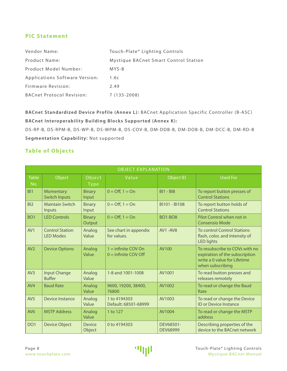# <span id="page-8-0"></span>**PIC Statement**

| Vendor Name:                     | Touch-Plate® Lighting Controls        |
|----------------------------------|---------------------------------------|
| <b>Product Name:</b>             | Mystique BACnet Smart Control Station |
| Product Model Number:            | MYS-B                                 |
| Applications Software Version:   | 1.6c                                  |
| Firmware Revision:               | 2.49                                  |
| <b>BACnet Protocol Revision:</b> | $7(135 - 2008)$                       |

**BACnet Standardized Device Profile (Annex L):** BACnet Application Specific Controller (B-ASC) **BACnet Interoperability Building Blocks Supported (Annex K):**

DS-RP-B, DS-RPM-B, DS-WP-B, DS-WPM-B, DS-COV-B, DM-DDB-B, DM-DOB-B, DM-DCC-B, DM-RD-B **Segmentation Capability:** Not supported

# **Table of Objects**

|                     | <b>OBJECT EXPLANATION</b>                  |                         |                                                 |                              |                                                                                                                      |  |  |  |
|---------------------|--------------------------------------------|-------------------------|-------------------------------------------------|------------------------------|----------------------------------------------------------------------------------------------------------------------|--|--|--|
| <b>Table</b><br>No. | Object                                     | Object<br><b>Type</b>   | Value                                           | <b>Object ID</b>             | <b>Used For</b>                                                                                                      |  |  |  |
| B <sub>1</sub>      | Momentary<br><b>Switch Inputs</b>          | <b>Binary</b><br>Input  | $0 = \text{Off}, 1 = \text{On}$                 | $BI1 - BI8$                  | To report button presses of<br><b>Control Stations</b>                                                               |  |  |  |
| BI <sub>2</sub>     | <b>Maintain Switch</b><br>Inputs           | <b>Binary</b><br>Input  | $0 = \text{Off}, 1 = \text{On}$                 | BI101 - BI108                | To report button holds of<br><b>Control Stations</b>                                                                 |  |  |  |
| BO <sub>1</sub>     | <b>LED Controls</b>                        | <b>Binary</b><br>Output | $0 =$ Off, $1 =$ On                             | <b>BO1-BO8</b>               | Pilot Control when not in<br><b>Consensio Mode</b>                                                                   |  |  |  |
| AV1                 | <b>Control Station</b><br><b>LED Modes</b> | Analog<br>Value         | See chart in appendix<br>for values.            | AV1-AV8                      | <b>To control Control Stations</b><br>flash, color, and intensity of<br><b>LED lights</b>                            |  |  |  |
| AV2                 | <b>Device Options</b>                      | Analog<br>Value         | $1 =$ infinite COV On<br>$0 =$ infinite COV Off | AV100                        | To resubscribe to COVs with no<br>expiration of the subscription<br>write a 0 value for Lifetime<br>when subscribing |  |  |  |
| AV3                 | <b>Input Change</b><br><b>Buffer</b>       | Analog<br>Value         | 1-8 and 1001-1008                               | AV1001                       | To read button presses and<br>releases remotely                                                                      |  |  |  |
| AV4                 | <b>Baud Rate</b>                           | Analog<br>Value         | 9600, 19200, 38400,<br>76800                    | AV1002                       | To read or change the Baud<br>Rate                                                                                   |  |  |  |
| AV5                 | Device Instance                            | Analog<br>Value         | 1 to 4194303<br>Default: 68501-68999            | AV1003                       | To read or change the Device<br><b>ID or Device Instance</b>                                                         |  |  |  |
| AV <sub>6</sub>     | <b>MSTP Address</b>                        | Analog<br>Value         | 1 to 127                                        | AV1004                       | To read or change the MSTP<br>address                                                                                |  |  |  |
| DO <sub>1</sub>     | <b>Device Object</b>                       | <b>Device</b><br>Object | 0 to 4194303                                    | DEV68501-<br><b>DEV68999</b> | Describing properties of the<br>device to the BACnet network                                                         |  |  |  |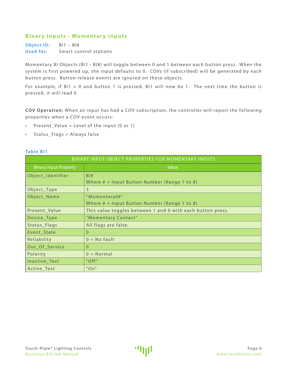# <span id="page-9-0"></span>**Binary Inputs - Momentary Inputs**

**Object ID:** BI1 – BI8 **Used for:** Smart control stations

Momentary BI Objects (BI1 - BI8) will toggle between 0 and 1 between each button press. When the system is first powered up, the input defaults to 0. COVs (if subscribed) will be generated by each button press. Button release events are ignored on these objects.

For example, if  $BI1 = 0$  and button 1 is pressed,  $BI1$  will now be 1. The next time the button is pressed, it will read 0.

**COV Operation:** When an input has had a COV subscription, the controller will report the following properties when a COV event occurs:

- Present\_Value = Level of the input  $(0 \text{ or } 1)$
- • Status\_Flags = Always false

#### **Table BI1**

| BINARY INPUT OBJECT PROPERTIES FOR MOMENTARY INPUTS |                                                            |  |  |  |
|-----------------------------------------------------|------------------------------------------------------------|--|--|--|
| <b>Binary Input Property</b>                        | Value                                                      |  |  |  |
| Object_Identifier                                   | B1#                                                        |  |  |  |
|                                                     | Where $#$ = Input Button Number (Range 1 to 8)             |  |  |  |
| Object_Type                                         | 3                                                          |  |  |  |
| Object_Name                                         | "Momentary0#"                                              |  |  |  |
|                                                     | Where $#$ = Input Button Number (Range 1 to 8)             |  |  |  |
| Present_Value                                       | This value toggles between 1 and 0 with each button press. |  |  |  |
| Device_Type                                         | "Momentary Contact"                                        |  |  |  |
| Status_Flags                                        | All flags are false.                                       |  |  |  |
| Event_State                                         | $\Omega$                                                   |  |  |  |
| Reliability                                         | $0 = No$ fault                                             |  |  |  |
| Out_Of_Service                                      | $\Omega$                                                   |  |  |  |
| Polarity                                            | $0 = Normal$                                               |  |  |  |
| Inactive_Text                                       | "Off"                                                      |  |  |  |
| Active Text                                         | "On"                                                       |  |  |  |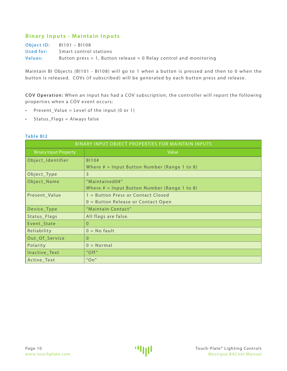# <span id="page-10-0"></span>**Binary Inputs - Maintain Inputs**

|           | <b>Object ID:</b> $BI101 - BI108$                                      |
|-----------|------------------------------------------------------------------------|
| Used for: | Smart control stations                                                 |
| Values:   | Button press $= 1$ , Button release $= 0$ Relay control and monitoring |

Maintain BI Objects (BI101 - BI108) will go to 1 when a button is pressed and then to 0 when the button is released. COVs (if subscribed) will be generated by each button press and release.

**COV Operation:** When an input has had a COV subscription, the controller will report the following properties when a COV event occurs:

- • Present\_Value = Level of the input (0 or 1)
- • Status\_Flags = Always false

#### **Table BI2**

| BINARY INPUT OBJECT PROPERTIES FOR MAINTAIN INPUTS |                                                |  |  |  |
|----------------------------------------------------|------------------------------------------------|--|--|--|
| <b>Binary Input Property</b>                       | Value                                          |  |  |  |
| Object_Identifier                                  | <b>B110#</b>                                   |  |  |  |
|                                                    | Where $#$ = Input Button Number (Range 1 to 8) |  |  |  |
| Object_Type                                        | 3                                              |  |  |  |
| Object_Name                                        | "Maintained0#"                                 |  |  |  |
|                                                    | Where $#$ = Input Button Number (Range 1 to 8) |  |  |  |
| Present Value                                      | 1 = Button Press or Contact Closed             |  |  |  |
|                                                    | $0 =$ Button Release or Contact Open           |  |  |  |
| Device_Type                                        | "Maintain Contact"                             |  |  |  |
| Status_Flags                                       | All flags are false.                           |  |  |  |
| Event_State                                        | $\Omega$                                       |  |  |  |
| Reliability                                        | $0 = No$ fault                                 |  |  |  |
| Out_Of_Service                                     | $\Omega$                                       |  |  |  |
| Polarity                                           | $0 = Normal$                                   |  |  |  |
| Inactive_Text                                      | $"$ Off $"$                                    |  |  |  |
| Active_Text                                        | "On"                                           |  |  |  |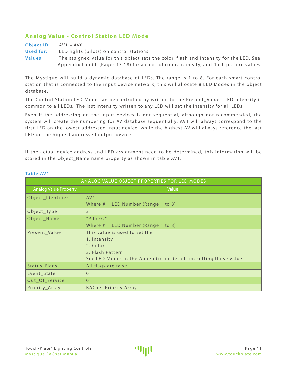# <span id="page-11-0"></span>**Analog Value - Control Station LED Mode**

**Object ID:** AV1 – AV8 **Used for:** LED lights (pilots) on control stations. **Values:** The assigned value for this object sets the color, flash and intensity for the LED. See Appendix I and II (Pages 17-18) for a chart of color, intensity, and flash pattern values.

The Mystique will build a dynamic database of LEDs. The range is 1 to 8. For each smart control station that is connected to the input device network, this will allocate 8 LED Modes in the object database.

The Control Station LED Mode can be controlled by writing to the Present\_Value. LED intensity is common to all LEDs. The last intensity written to any LED will set the intensity for all LEDs.

Even if the addressing on the input devices is not sequential, although not recommended, the system will create the numbering for AV database sequentially. AV1 will always correspond to the first LED on the lowest addressed input device, while the highest AV will always reference the last LED on the highest addressed output device.

If the actual device address and LED assignment need to be determined, this information will be stored in the Object\_Name name property as shown in table AV1.

| ANALOG VALUE OBJECT PROPERTIES FOR LED MODES |                                                                    |  |  |  |
|----------------------------------------------|--------------------------------------------------------------------|--|--|--|
| <b>Analog Value Property</b>                 | Value                                                              |  |  |  |
| Object_Identifier                            | AV#                                                                |  |  |  |
|                                              | Where $# = LED$ Number (Range 1 to 8)                              |  |  |  |
| Object_Type                                  | 2                                                                  |  |  |  |
| Object_Name                                  | "Pilot0#"                                                          |  |  |  |
|                                              | Where $# = LED$ Number (Range 1 to 8)                              |  |  |  |
| Present_Value                                | This value is used to set the                                      |  |  |  |
|                                              | 1. Intensity                                                       |  |  |  |
|                                              | 2. Color                                                           |  |  |  |
|                                              | 3. Flash Pattern                                                   |  |  |  |
|                                              | See LED Modes in the Appendix for details on setting these values. |  |  |  |
| Status_Flags                                 | All flags are false.                                               |  |  |  |
| Event_State                                  | $\Omega$                                                           |  |  |  |
| Out_Of_Service                               | $\Omega$                                                           |  |  |  |
| Priority_Array                               | <b>BACnet Priority Array</b>                                       |  |  |  |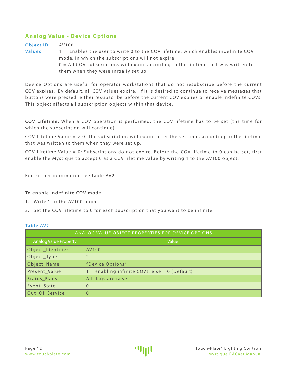# <span id="page-12-0"></span>**Analog Value - Device Options**

**Object ID:** AV100 **Values:** 1 = Enables the user to write 0 to the COV lifetime, which enables indefinite COV mode, in which the subscriptions will not expire.  $0 =$  All COV subscriptions will expire according to the lifetime that was written to them when they were initially set up.

Device Options are useful for operator workstations that do not resubscribe before the current COV expires. By default, all COV values expire. If it is desired to continue to receive messages that buttons were pressed, either resubscribe before the current COV expires or enable indefinite COVs. This object affects all subscription objects within that device.

**COV Lifetime:** When a COV operation is per formed, the COV lifetime has to be set (the time for which the subscription will continue).

COV Lifetime Value  $=$  > 0: The subscription will expire after the set time, according to the lifetime that was written to them when they were set up.

COV Lifetime Value = 0: Subscriptions do not expire. Before the COV lifetime to 0 can be set, first enable the Mystique to accept 0 as a COV lifetime value by writing 1 to the AV100 object.

For further information see table AV2.

#### **To enable indefinite COV mode:**

- 1. Write 1 to the AV100 object.
- 2. Set the COV lifetime to 0 for each subscription that you want to be infinite.

| ANALOG VALUE OBJECT PROPERTIES FOR DEVICE OPTIONS |                                                  |  |  |  |
|---------------------------------------------------|--------------------------------------------------|--|--|--|
| <b>Analog Value Property</b>                      | Value                                            |  |  |  |
| Object_Identifier                                 | AV100                                            |  |  |  |
| Object_Type                                       |                                                  |  |  |  |
| Object_Name                                       | "Device Options"                                 |  |  |  |
| Present_Value                                     | $1 =$ enabling infinite COVs, else = 0 (Default) |  |  |  |
| Status_Flags                                      | All flags are false.                             |  |  |  |
| Event_State                                       | $\overline{0}$                                   |  |  |  |
| Out_Of_Service                                    | $\overline{0}$                                   |  |  |  |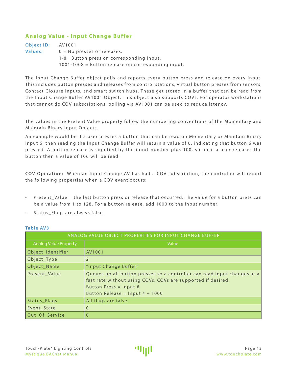# <span id="page-13-0"></span>**Analog Value - Input Change Buffer**

| <b>Object ID:</b> | AV1001                                                 |
|-------------------|--------------------------------------------------------|
| Values:           | $0 = No$ presses or releases.                          |
|                   | $1-8=$ Button press on corresponding input.            |
|                   | $1001 - 1008$ = Button release on corresponding input. |

The Input Change Buffer object polls and reports every button press and release on every input. This includes button presses and releases from control stations, virtual button presses from sensors, Contact Closure Inputs, and smart switch hubs. These get stored in a buffer that can be read from the Input Change Buffer AV1001 Object. This object also supports COVs. For operator workstations that cannot do COV subscriptions, polling via AV1001 can be used to reduce latency.

The values in the Present Value property follow the numbering conventions of the Momentary and Maintain Binary Input Objects.

An example would be if a user presses a button that can be read on Momentary or Maintain Binary Input 6, then reading the Input Change Buffer will return a value of 6, indicating that button 6 was pressed. A button release is signified by the input number plus 100, so once a user releases the button then a value of 106 will be read.

**COV Operation:** When an I nput Change AV has had a COV subscription, the controller will repor t the following properties when a COV event occurs:

- Present\_Value = the last button press or release that occurred. The value for a button press can be a value from 1 to 128. For a button release, add 1000 to the input number.
- Status Flags are always false.

| ANALOG VALUE OBJECT PROPERTIES FOR INPUT CHANGE BUFFER |                                                                                                                                                                                                         |  |  |  |  |  |
|--------------------------------------------------------|---------------------------------------------------------------------------------------------------------------------------------------------------------------------------------------------------------|--|--|--|--|--|
| <b>Analog Value Property</b>                           | Value                                                                                                                                                                                                   |  |  |  |  |  |
| Object_Identifier                                      | AV1001                                                                                                                                                                                                  |  |  |  |  |  |
| Object_Type                                            |                                                                                                                                                                                                         |  |  |  |  |  |
| Object_Name                                            | "Input Change Buffer"                                                                                                                                                                                   |  |  |  |  |  |
| Present Value                                          | Queues up all button presses so a controller can read input changes at a<br>fast rate without using COVs. COVs are supported if desired.<br>Button Press = Input #<br>Button Release = $Input # + 1000$ |  |  |  |  |  |
| Status_Flags                                           | All flags are false.                                                                                                                                                                                    |  |  |  |  |  |
| Event_State                                            | $\Omega$                                                                                                                                                                                                |  |  |  |  |  |
| Out_Of_Service                                         | $\Omega$                                                                                                                                                                                                |  |  |  |  |  |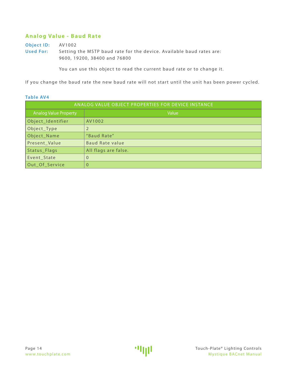# <span id="page-14-0"></span>**Analog Value - Baud Rate**

**Object ID:** AV1002 **Used For:** Setting the MSTP baud rate for the device. Available baud rates are: 9600, 19200, 38400 and 76800

You can use this object to read the current baud rate or to change it.

If you change the baud rate the new baud rate will not start until the unit has been power cycled.

| ANALOG VALUE OBJECT PROPERTIES FOR DEVICE INSTANCE |                        |  |  |  |
|----------------------------------------------------|------------------------|--|--|--|
| <b>Analog Value Property</b>                       | Value                  |  |  |  |
| Object_Identifier                                  | AV1002                 |  |  |  |
| Object_Type                                        |                        |  |  |  |
| Object_Name                                        | "Baud Rate"            |  |  |  |
| Present_Value                                      | <b>Baud Rate value</b> |  |  |  |
| Status_Flags                                       | All flags are false.   |  |  |  |
| Event_State                                        | 0                      |  |  |  |
| Out_Of_Service                                     | $\Omega$               |  |  |  |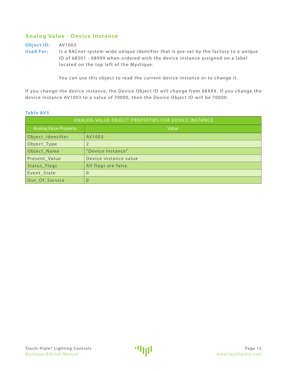# <span id="page-15-0"></span>**Analog Value - Device Instance**

**Object ID:** AV1003

**Used For:** Is a BACnet system-wide unique identifier that is pre-set by the factory to a unique ID of 68501 - 68999 when ordered with the device instance assigned on a label located on the top left of the Mystique.

You can use this object to read the current device instance or to change it.

If you change the device instance, the Device Object ID will change from 68XXX. If you change the device instance AV1003 to a value of 70000, then the Device Object ID will be 70000.

| ANALOG VALUE OBJECT PROPERTIES FOR DEVICE INSTANCE |                       |  |  |  |
|----------------------------------------------------|-----------------------|--|--|--|
| <b>Analog Value Property</b>                       | Value                 |  |  |  |
| Object_Identifier                                  | AV1003                |  |  |  |
| Object_Type                                        | $\overline{2}$        |  |  |  |
| Object_Name                                        | "Device Instance"     |  |  |  |
| Present_Value                                      | Device instance value |  |  |  |
| Status_Flags                                       | All flags are false.  |  |  |  |
| Event_State                                        | $\overline{0}$        |  |  |  |
| Out Of Service                                     | $\overline{0}$        |  |  |  |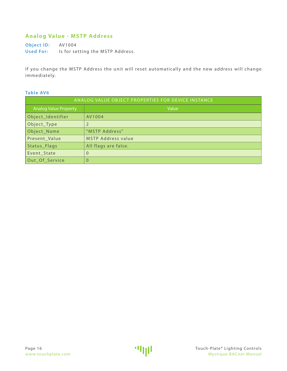# <span id="page-16-0"></span>**Analog Value - MSTP Address**

**Object ID:** AV1004 **Used For:** Is for setting the MSTP Address.

If you change the MSTP Address the unit will reset automatically and the new address will change immediately.

| ANALOG VALUE OBJECT PROPERTIES FOR DEVICE INSTANCE |                           |  |  |  |
|----------------------------------------------------|---------------------------|--|--|--|
| <b>Analog Value Property</b>                       | Value                     |  |  |  |
| Object_Identifier                                  | AV1004                    |  |  |  |
| Object_Type                                        |                           |  |  |  |
| Object_Name                                        | "MSTP Address"            |  |  |  |
| Present_Value                                      | <b>MSTP Address value</b> |  |  |  |
| Status_Flags                                       | All flags are false.      |  |  |  |
| Event_State                                        | $\Omega$                  |  |  |  |
| Out_Of_Service                                     | 0                         |  |  |  |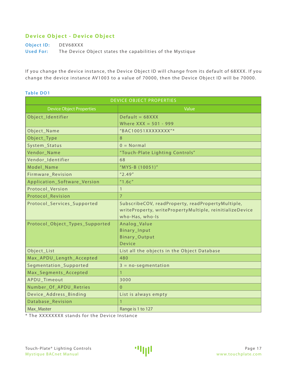# <span id="page-17-0"></span>**Device Object - Device Object**

**Object ID:** DEV68XXX **Used For:** The Device Object states the capabilities of the Mystique

If you change the device instance, the Device Object ID will change from its default of 68XXX. If you change the device instance AV1003 to a value of 70000, then the Device Object ID will be 70000.

#### **Table DO1**

| <b>DEVICE OBJECT PROPERTIES</b> |                                                          |  |  |  |  |
|---------------------------------|----------------------------------------------------------|--|--|--|--|
| <b>Device Object Properties</b> | Value                                                    |  |  |  |  |
| Object_Identifier               | $Default = 68XXX$                                        |  |  |  |  |
|                                 | Where $XXX = 501 - 999$                                  |  |  |  |  |
| Object_Name                     | "BAC10051XXXXXXXX"*                                      |  |  |  |  |
| Object_Type                     | 8                                                        |  |  |  |  |
| System_Status                   | $0 = Normal$                                             |  |  |  |  |
| Vendor_Name                     | "Touch-Plate Lighting Controls"                          |  |  |  |  |
| Vendor_Identifier               | 68                                                       |  |  |  |  |
| Model_Name                      | "MYS-B (10051)"                                          |  |  |  |  |
| Firmware_Revision               | "2.49"                                                   |  |  |  |  |
| Application_Software_Version    | "1.6c"                                                   |  |  |  |  |
| Protocol_Version                | $\mathbf{1}$                                             |  |  |  |  |
| Protocol_Revision               | $\overline{7}$                                           |  |  |  |  |
| Protocol_Services_Supported     | SubscribeCOV, readProperty, readPropertyMultiple,        |  |  |  |  |
|                                 | writeProperty, writePropertyMultiple, reinitializeDevice |  |  |  |  |
|                                 | who-Has, who-Is                                          |  |  |  |  |
| Protocol_Object_Types_Supported | Analog_Value                                             |  |  |  |  |
|                                 | Binary_Input                                             |  |  |  |  |
|                                 | Binary_Output<br><b>Device</b>                           |  |  |  |  |
| Object_List                     | List all the objects in the Object Database              |  |  |  |  |
| Max_APDU_Length_Accepted        | 480                                                      |  |  |  |  |
| Segmentation_Supported          | $3 = no-segmentation$                                    |  |  |  |  |
| Max_Segments_Accepted           |                                                          |  |  |  |  |
| APDU_Timeout                    | 3000                                                     |  |  |  |  |
| Number_Of_APDU_Retries          | $\overline{0}$                                           |  |  |  |  |
| Device_Address_Binding          | List is always empty                                     |  |  |  |  |
| Database Revision               |                                                          |  |  |  |  |
| Max_Master                      | Range is 1 to 127                                        |  |  |  |  |
|                                 |                                                          |  |  |  |  |

\* The XXXXXXXX stands for the Device Instance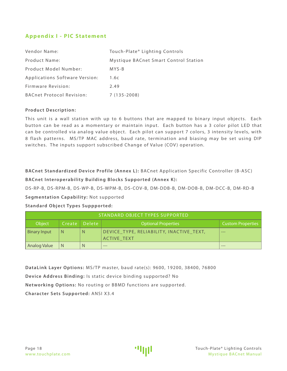# <span id="page-18-0"></span>**Appendix I - PIC Statement**

| Vendor Name:                     | Touch-Plate® Lighting Controls        |
|----------------------------------|---------------------------------------|
| <b>Product Name:</b>             | Mystique BACnet Smart Control Station |
| Product Model Number:            | $MYS-B$                               |
| Applications Software Version:   | 1.6c                                  |
| Firmware Revision:               | 2.49                                  |
| <b>BACnet Protocol Revision:</b> | $7(135-2008)$                         |

#### **Product Description:**

This unit is a wall station with up to 6 buttons that are mapped to binary input objects. Each button can be read as a momentary or maintain input. Each button has a 3 color pilot LED that can be controlled via analog value object. Each pilot can support 7 colors, 3 intensity levels, with 8 flash patterns. MS/TP MAC address, baud rate, termination and biasing may be set using DIP switches. The inputs support subscribed Change of Value (COV) operation.

**BACnet Standardized Device Profile (Annex L):** BACnet Application Specific Controller (B-ASC)

#### **BACnet Interoperability Building Blocks Supported (Annex K):**

DS-RP-B, DS-RPM-B, DS-WP-B, DS-WPM-B, DS-COV-B, DM-DDB-B, DM-DOB-B, DM-DCC-B, DM-RD-B

#### **Segmentation Capability:** Not supported

#### **Standard Object Types Suppported:**

| STANDARD OBJECT TYPES SUPPORTED                                                          |   |   |                                                                |         |  |  |
|------------------------------------------------------------------------------------------|---|---|----------------------------------------------------------------|---------|--|--|
| <b>Optional Properties</b><br>Object<br>∣ Delete i<br>Create<br><b>Custom Properties</b> |   |   |                                                                |         |  |  |
| <b>Binary Input</b>                                                                      | N | N | DEVICE TYPE, RELIABILITY, INACTIVE TEXT,<br><b>ACTIVE TEXT</b> | $- - -$ |  |  |
| <b>Analog Value</b>                                                                      | N | N | $---$                                                          | $---$   |  |  |

**DataLink Layer Options:** MS/TP master, baud rate(s): 9600, 19200, 38400, 76800 **Device Address Binding:** Is static device binding supported? No **Networking Options:** No routing or BBMD functions are supported. **Character Sets Supported:** ANSI X3.4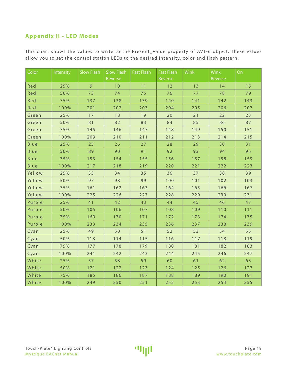# <span id="page-19-0"></span>**Appendix II - LED Modes**

This chart shows the values to write to the Present\_Value property of AV1-6 object. These values allow you to set the control station LEDs to the desired intensity, color and flash pattern.

| Color        | Intensity | <b>Slow Flash</b> | <b>Slow Flash</b> | <b>Fast Flash</b> | <b>Fast Flash</b> | <b>Wink</b> | <b>Wink</b> | On  |
|--------------|-----------|-------------------|-------------------|-------------------|-------------------|-------------|-------------|-----|
|              |           |                   | Reverse           |                   | Reverse           |             | Reverse     |     |
| Red          | 25%       | $\overline{9}$    | 10                | 11                | 12                | 13          | 14          | 15  |
| Red          | 50%       | 73                | 74                | 75                | 76                | 77          | 78          | 79  |
| Red          | 75%       | 137               | 138               | 139               | 140               | 141         | 142         | 143 |
| Red          | 100%      | 201               | 202               | 203               | 204               | 205         | 206         | 207 |
| Green        | 25%       | 17                | 18                | 19                | 20                | 21          | 22          | 23  |
| Green        | 50%       | 81                | 82                | 83                | 84                | 85          | 86          | 87  |
| Green        | 75%       | 145               | 146               | 147               | 148               | 149         | 150         | 151 |
| Green        | 100%      | 209               | 210               | 211               | 212               | 213         | 214         | 215 |
| Blue         | 25%       | 25                | 26                | 27                | 28                | 29          | 30          | 31  |
| Blue         | 50%       | 89                | 90                | 91                | 92                | 93          | 94          | 95  |
| Blue         | 75%       | 153               | 154               | 155               | 156               | 157         | 158         | 159 |
| Blue         | 100%      | 217               | 218               | 219               | 220               | 221         | 222         | 223 |
| Yellow       | 25%       | 33                | 34                | 35                | 36                | 37          | 38          | 39  |
| Yellow       | 50%       | 97                | 98                | 99                | 100               | 101         | 102         | 103 |
| Yellow       | 75%       | 161               | 162               | 163               | 164               | 165         | 166         | 167 |
| Yellow       | 100%      | 225               | 226               | 227               | 228               | 229         | 230         | 231 |
| Purple       | 25%       | 41                | 42                | 43                | 44                | 45          | 46          | 47  |
| Purple       | 50%       | 105               | 106               | 107               | 108               | 109         | 110         | 111 |
| Purple       | 75%       | 169               | 170               | 171               | 172               | 173         | 174         | 175 |
| Purple       | 100%      | 233               | 234               | 235               | 236               | 237         | 238         | 239 |
| Cyan         | 25%       | 49                | 50                | 51                | 52                | 53          | 54          | 55  |
| Cyan         | 50%       | 113               | 114               | 115               | 116               | 117         | 118         | 119 |
| Cyan         | 75%       | 177               | 178               | 179               | 180               | 181         | 182         | 183 |
| Cyan         | 100%      | 241               | 242               | 243               | 244               | 245         | 246         | 247 |
| White        | 25%       | 57                | 58                | 59                | 60                | 61          | 62          | 63  |
| White        | 50%       | 121               | 122               | 123               | 124               | 125         | 126         | 127 |
| White        | 75%       | 185               | 186               | 187               | 188               | 189         | 190         | 191 |
| <b>White</b> | 100%      | 249               | 250               | 251               | 252               | 253         | 254         | 255 |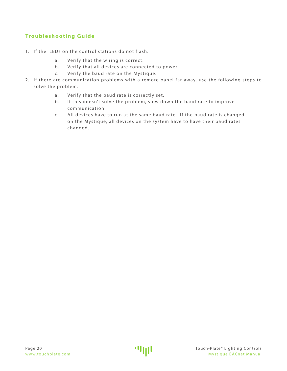# <span id="page-20-0"></span>**Troubleshooting Guide**

- 1. If the LEDs on the control stations do not flash.
	- a. Verify that the wiring is correct.
	- b. Verify that all devices are connected to power.
	- c. Verify the baud rate on the Mystique.
- 2. If there are communication problems with a remote panel far away, use the following steps to solve the problem.
	- a. Verify that the baud rate is correctly set.
	- b. If this doesn't solve the problem, slow down the baud rate to improve communication.
	- c. All devices have to run at the same baud rate. If the baud rate is changed on the Mystique, all devices on the system have to have their baud rates changed.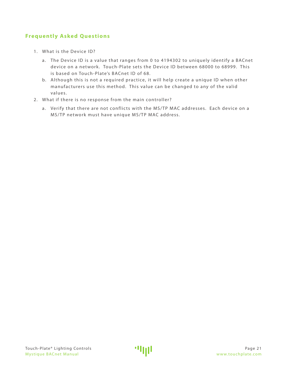# <span id="page-21-0"></span>**Frequently Asked Questions**

- 1. What is the Device ID?
	- a. The Device ID is a value that ranges from 0 to 4194302 to uniquely identify a BACnet device on a network. Touch-Plate sets the Device ID between 68000 to 68999. This is based on Touch-Plate's BACnet ID of 68.
	- b. Although this is not a required practice, it will help create a unique ID when other manufacturers use this method. This value can be changed to any of the valid values.
- 2. What if there is no response from the main controller?
	- a. Verify that there are not conflicts with the MS/TP MAC addresses. Each device on a MS/TP network must have unique MS/TP MAC address.